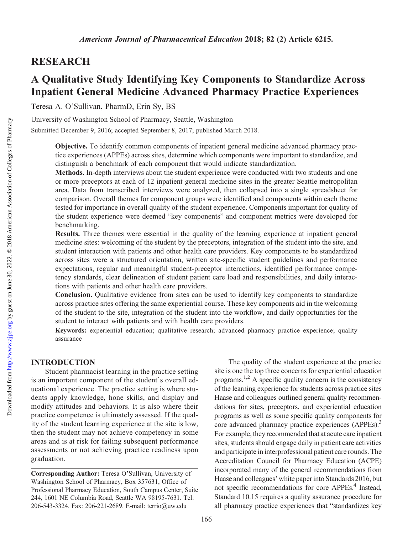# RESEARCH

# A Qualitative Study Identifying Key Components to Standardize Across Inpatient General Medicine Advanced Pharmacy Practice Experiences

Teresa A. O'Sullivan, PharmD, Erin Sy, BS

University of Washington School of Pharmacy, Seattle, Washington

Submitted December 9, 2016; accepted September 8, 2017; published March 2018.

Objective. To identify common components of inpatient general medicine advanced pharmacy practice experiences (APPEs) across sites, determine which components were important to standardize, and distinguish a benchmark of each component that would indicate standardization.

Methods. In-depth interviews about the student experience were conducted with two students and one or more preceptors at each of 12 inpatient general medicine sites in the greater Seattle metropolitan area. Data from transcribed interviews were analyzed, then collapsed into a single spreadsheet for comparison. Overall themes for component groups were identified and components within each theme tested for importance in overall quality of the student experience. Components important for quality of the student experience were deemed "key components" and component metrics were developed for benchmarking.

Results. Three themes were essential in the quality of the learning experience at inpatient general medicine sites: welcoming of the student by the preceptors, integration of the student into the site, and student interaction with patients and other health care providers. Key components to be standardized across sites were a structured orientation, written site-specific student guidelines and performance expectations, regular and meaningful student-preceptor interactions, identified performance competency standards, clear delineation of student patient care load and responsibilities, and daily interactions with patients and other health care providers.

Conclusion. Qualitative evidence from sites can be used to identify key components to standardize across practice sites offering the same experiential course. These key components aid in the welcoming of the student to the site, integration of the student into the workflow, and daily opportunities for the student to interact with patients and with health care providers.

Keywords: experiential education; qualitative research; advanced pharmacy practice experience; quality assurance

### INTRODUCTION

Student pharmacist learning in the practice setting is an important component of the student's overall educational experience. The practice setting is where students apply knowledge, hone skills, and display and modify attitudes and behaviors. It is also where their practice competence is ultimately assessed. If the quality of the student learning experience at the site is low, then the student may not achieve competency in some areas and is at risk for failing subsequent performance assessments or not achieving practice readiness upon graduation.

The quality of the student experience at the practice site is one the top three concerns for experiential education programs.<sup>1,2</sup> A specific quality concern is the consistency of the learning experience for students across practice sites Haase and colleagues outlined general quality recommendations for sites, preceptors, and experiential education programs as well as some specific quality components for core advanced pharmacy practice experiences (APPEs).<sup>3</sup> For example, they recommended that at acute care inpatient sites, students should engage daily in patient care activities and participate in interprofessional patient care rounds. The Accreditation Council for Pharmacy Education (ACPE) incorporated many of the general recommendations from Haase and colleagues' white paper into Standards 2016, but not specific recommendations for core APPEs.<sup>4</sup> Instead, Standard 10.15 requires a quality assurance procedure for all pharmacy practice experiences that "standardizes key

Corresponding Author: Teresa O'Sullivan, University of Washington School of Pharmacy, Box 357631, Office of Professional Pharmacy Education, South Campus Center, Suite 244, 1601 NE Columbia Road, Seattle WA 98195-7631. Tel: 206-543-3324. Fax: 206-221-2689. E-mail: [terrio@uw.edu](mailto:terrio@uw.edu)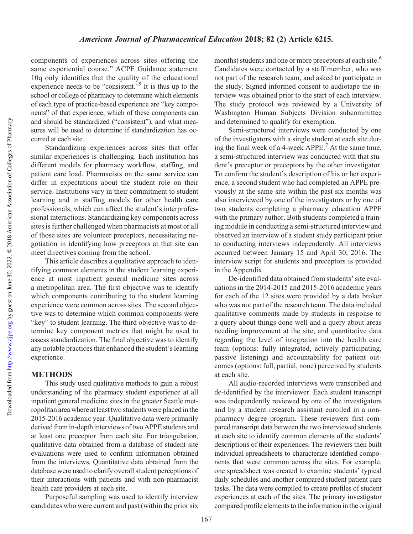components of experiences across sites offering the same experiential course." ACPE Guidance statement 10q only identifies that the quality of the educational experience needs to be "consistent."<sup>5</sup> It is thus up to the school or college of pharmacy to determine which elements of each type of practice-based experience are "key components" of that experience, which of these components can and should be standardized ("consistent"), and what measures will be used to determine if standardization has occurred at each site.

Standardizing experiences across sites that offer similar experiences is challenging. Each institution has different models for pharmacy workflow, staffing, and patient care load. Pharmacists on the same service can differ in expectations about the student role on their service. Institutions vary in their commitment to student learning and in staffing models for other health care professionals, which can affect the student's interprofessional interactions. Standardizing key components across sites is further challenged when pharmacists at most or all of those sites are volunteer preceptors, necessitating negotiation in identifying how preceptors at that site can meet directives coming from the school.

This article describes a qualitative approach to identifying common elements in the student learning experience at most inpatient general medicine sites across a metropolitan area. The first objective was to identify which components contributing to the student learning experience were common across sites. The second objective was to determine which common components were "key" to student learning. The third objective was to determine key component metrics that might be used to assess standardization. The final objective was to identify any notable practices that enhanced the student's learning experience.

# METHODS

Downloaded from

This study used qualitative methods to gain a robust understanding of the pharmacy student experience at all inpatient general medicine sites in the greater Seattle metropolitan area where at least two students were placed in the 2015-2016 academic year. Qualitative data were primarily derived from in-depth interviews of two APPE students and at least one preceptor from each site. For triangulation, qualitative data obtained from a database of student site evaluations were used to confirm information obtained from the interviews. Quantitative data obtained from the database were used to clarify overall student perceptions of their interactions with patients and with non-pharmacist health care providers at each site.

Purposeful sampling was used to identify interview candidates who were current and past (within the prior six months) students and one or more preceptors at each site.<sup>6</sup> Candidates were contacted by a staff member, who was not part of the research team, and asked to participate in the study. Signed informed consent to audiotape the interview was obtained prior to the start of each interview. The study protocol was reviewed by a University of Washington Human Subjects Division subcommittee and determined to qualify for exemption.

Semi-structured interviews were conducted by one of the investigators with a single student at each site during the final week of a 4-week APPE.7 At the same time, a semi-structured interview was conducted with that student's preceptor or preceptors by the other investigator. To confirm the student's description of his or her experience, a second student who had completed an APPE previously at the same site within the past six months was also interviewed by one of the investigators or by one of two students completing a pharmacy education APPE with the primary author. Both students completed a training module in conducting a semi-structured interview and observed an interview of a student study participant prior to conducting interviews independently. All interviews occurred between January 15 and April 30, 2016. The interview script for students and preceptors is provided in the Appendix.

De-identified data obtained from students' site evaluations in the 2014-2015 and 2015-2016 academic years for each of the 12 sites were provided by a data broker who was not part of the research team. The data included qualitative comments made by students in response to a query about things done well and a query about areas needing improvement at the site, and quantitative data regarding the level of integration into the health care team (options: fully integrated, actively participating, passive listening) and accountability for patient outcomes (options: full, partial, none) perceived by students at each site.

All audio-recorded interviews were transcribed and de-identified by the interviewer. Each student transcript was independently reviewed by one of the investigators and by a student research assistant enrolled in a nonpharmacy degree program. These reviewers first compared transcript data between the two interviewed students at each site to identify common elements of the students' descriptions of their experiences. The reviewers then built individual spreadsheets to characterize identified components that were common across the sites. For example, one spreadsheet was created to examine students' typical daily schedules and another compared student patient care tasks. The data were compiled to create profiles of student experiences at each of the sites. The primary investigator compared profile elements to the information in the original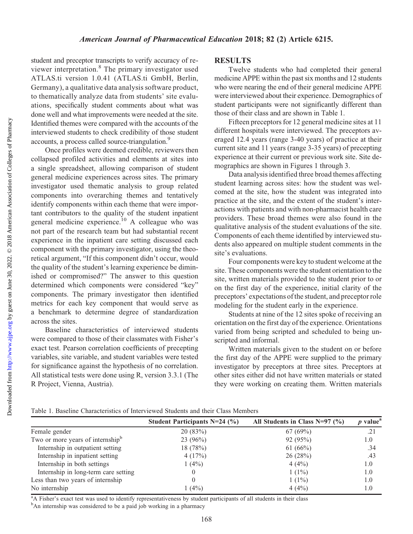Downloaded from

student and preceptor transcripts to verify accuracy of reviewer interpretation.<sup>8</sup> The primary investigator used ATLAS.ti version 1.0.41 (ATLAS.ti GmbH, Berlin, Germany), a qualitative data analysis software product, to thematically analyze data from students' site evaluations, specifically student comments about what was done well and what improvements were needed at the site. Identified themes were compared with the accounts of the interviewed students to check credibility of those student accounts, a process called source-triangulation.<sup>9</sup>

Once profiles were deemed credible, reviewers then collapsed profiled activities and elements at sites into a single spreadsheet, allowing comparison of student general medicine experiences across sites. The primary investigator used thematic analysis to group related components into overarching themes and tentatively identify components within each theme that were important contributors to the quality of the student inpatient general medicine experience.<sup>10</sup> A colleague who was not part of the research team but had substantial recent experience in the inpatient care setting discussed each component with the primary investigator, using the theoretical argument, "If this component didn't occur, would the quality of the student's learning experience be diminished or compromised?" The answer to this question determined which components were considered "key" components. The primary investigator then identified metrics for each key component that would serve as a benchmark to determine degree of standardization across the sites.

Baseline characteristics of interviewed students were compared to those of their classmates with Fisher's exact test. Pearson correlation coefficients of precepting variables, site variable, and student variables were tested for significance against the hypothesis of no correlation. All statistical tests were done using R, version 3.3.1 (The R Project, Vienna, Austria).

### **RESULTS**

Twelve students who had completed their general medicine APPE within the past six months and 12 students who were nearing the end of their general medicine APPE were interviewed about their experience. Demographics of student participants were not significantly different than those of their class and are shown in Table 1.

Fifteen preceptors for 12 general medicine sites at 11 different hospitals were interviewed. The preceptors averaged 12.4 years (range 3-40 years) of practice at their current site and 11 years (range 3-35 years) of precepting experience at their current or previous work site. Site demographics are shown in Figures 1 through 3.

Data analysis identified three broad themes affecting student learning across sites: how the student was welcomed at the site, how the student was integrated into practice at the site, and the extent of the student's interactions with patients and with non-pharmacist health care providers. These broad themes were also found in the qualitative analysis of the student evaluations of the site. Components of each theme identified by interviewed students also appeared on multiple student comments in the site's evaluations.

Four components were key to student welcome at the site. These components were the student orientation to the site, written materials provided to the student prior to or on the first day of the experience, initial clarity of the preceptors' expectations of the student, and preceptor role modeling for the student early in the experience.

Students at nine of the 12 sites spoke of receiving an orientation on the first day of the experience. Orientations varied from being scripted and scheduled to being unscripted and informal.

Written materials given to the student on or before the first day of the APPE were supplied to the primary investigator by preceptors at three sites. Preceptors at other sites either did not have written materials or stated they were working on creating them. Written materials

|  |  | Table 1. Baseline Characteristics of Interviewed Students and their Class Members |  |  |  |  |  |  |  |
|--|--|-----------------------------------------------------------------------------------|--|--|--|--|--|--|--|
|--|--|-----------------------------------------------------------------------------------|--|--|--|--|--|--|--|

|                                              | Student Participants $N=24$ (%) | All Students in Class $N=97$ (%) | $p$ value <sup>a</sup> |
|----------------------------------------------|---------------------------------|----------------------------------|------------------------|
| Female gender                                | 20(83%)                         | 67(69%)                          | .21                    |
| Two or more years of internship <sup>b</sup> | 23 $(96\%)$                     | 92 (95%)                         | 1.0                    |
| Internship in outpatient setting             | 18(78%)                         | 61 $(66%)$                       | .34                    |
| Internship in inpatient setting              | 4(17%)                          | 26(28%)                          | .43                    |
| Internship in both settings                  | 1(4%)                           | 4(4%)                            | 1.0                    |
| Internship in long-term care setting         |                                 | $1(1\%)$                         | 1.0                    |
| Less than two years of internship            |                                 | $1(1\%)$                         | 1.0                    |
| No internship                                | $(4\%)$                         | 4(4%)                            | 1.0                    |

<sup>a</sup>A Fisher's exact test was used to identify representativeness by student participants of all students in their class

<sup>b</sup>An internship was considered to be a paid job working in a pharmacy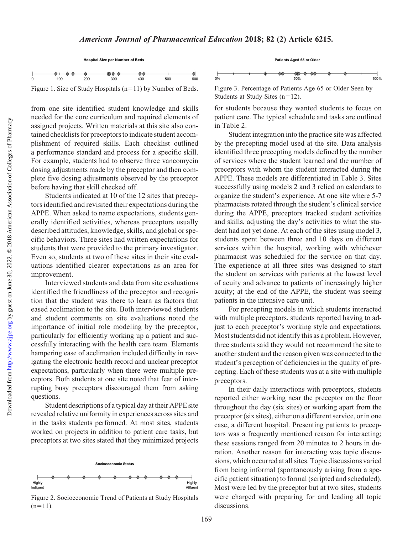

**Hospital Size per Number of Beds** 

Figure 1. Size of Study Hospitals  $(n=11)$  by Number of Beds.

from one site identified student knowledge and skills needed for the core curriculum and required elements of assigned projects. Written materials at this site also contained checklists for preceptors to indicate student accomplishment of required skills. Each checklist outlined a performance standard and process for a specific skill. For example, students had to observe three vancomycin dosing adjustments made by the preceptor and then complete five dosing adjustments observed by the preceptor before having that skill checked off.

Students indicated at 10 of the 12 sites that preceptors identified and revisited their expectations during the APPE. When asked to name expectations, students generally identified activities, whereas preceptors usually described attitudes, knowledge, skills, and global or specific behaviors. Three sites had written expectations for students that were provided to the primary investigator. Even so, students at two of these sites in their site evaluations identified clearer expectations as an area for improvement.

Interviewed students and data from site evaluations identified the friendliness of the preceptor and recognition that the student was there to learn as factors that eased acclimation to the site. Both interviewed students and student comments on site evaluations noted the importance of initial role modeling by the preceptor, particularly for efficiently working up a patient and successfully interacting with the health care team. Elements hampering ease of acclimation included difficulty in navigating the electronic health record and unclear preceptor expectations, particularly when there were multiple preceptors. Both students at one site noted that fear of interrupting busy preceptors discouraged them from asking questions.

Student descriptions of a typical day at their APPE site revealed relative uniformity in experiences across sites and in the tasks students performed. At most sites, students worked on projects in addition to patient care tasks, but preceptors at two sites stated that they minimized projects



Figure 2. Socioeconomic Trend of Patients at Study Hospitals  $(n=11)$ .



Figure 3. Percentage of Patients Age 65 or Older Seen by Students at Study Sites  $(n=12)$ .

for students because they wanted students to focus on patient care. The typical schedule and tasks are outlined in Table 2.

Student integration into the practice site was affected by the precepting model used at the site. Data analysis identified three precepting models defined by the number of services where the student learned and the number of preceptors with whom the student interacted during the APPE. These models are differentiated in Table 3. Sites successfully using models 2 and 3 relied on calendars to organize the student's experience. At one site where 5-7 pharmacists rotated through the student's clinical service during the APPE, preceptors tracked student activities and skills, adjusting the day's activities to what the student had not yet done. At each of the sites using model 3, students spent between three and 10 days on different services within the hospital, working with whichever pharmacist was scheduled for the service on that day. The experience at all three sites was designed to start the student on services with patients at the lowest level of acuity and advance to patients of increasingly higher acuity; at the end of the APPE, the student was seeing patients in the intensive care unit.

For precepting models in which students interacted with multiple preceptors, students reported having to adjust to each preceptor's working style and expectations. Most students did not identify this as a problem. However, three students said they would not recommend the site to another student and the reason given was connected to the student's perception of deficiencies in the quality of precepting. Each of these students was at a site with multiple preceptors.

In their daily interactions with preceptors, students reported either working near the preceptor on the floor throughout the day (six sites) or working apart from the preceptor (six sites), either on a different service, or in one case, a different hospital. Presenting patients to preceptors was a frequently mentioned reason for interacting; these sessions ranged from 20 minutes to 2 hours in duration. Another reason for interacting was topic discussions, which occurred at all sites. Topic discussions varied from being informal (spontaneously arising from a specific patient situation) to formal (scripted and scheduled). Most were led by the preceptor but at two sites, students were charged with preparing for and leading all topic discussions.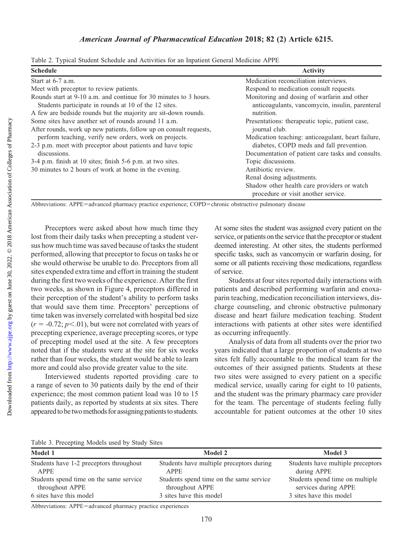| <b>Schedule</b>                                                    | <b>Activity</b>                                    |
|--------------------------------------------------------------------|----------------------------------------------------|
| Start at 6-7 a.m.                                                  | Medication reconciliation interviews.              |
| Meet with preceptor to review patients.                            | Respond to medication consult requests.            |
| Rounds start at 9-10 a.m. and continue for 30 minutes to 3 hours.  | Monitoring and dosing of warfarin and other        |
| Students participate in rounds at 10 of the 12 sites.              | anticoagulants, vancomycin, insulin, parenteral    |
| A few are bedside rounds but the majority are sit-down rounds.     | nutrition.                                         |
| Some sites have another set of rounds around 11 a.m.               | Presentations: therapeutic topic, patient case,    |
| After rounds, work up new patients, follow up on consult requests, | journal club.                                      |
| perform teaching, verify new orders, work on projects.             | Medication teaching: anticoagulant, heart failure, |
| 2-3 p.m. meet with preceptor about patients and have topic         | diabetes, COPD meds and fall prevention.           |
| discussions.                                                       | Documentation of patient care tasks and consults.  |
| 3-4 p.m. finish at 10 sites; finish 5-6 p.m. at two sites.         | Topic discussions.                                 |
| 30 minutes to 2 hours of work at home in the evening.              | Antibiotic review.                                 |
|                                                                    | Renal dosing adjustments.                          |
|                                                                    | Shadow other health care providers or watch        |
|                                                                    | procedure or visit another service.                |

Table 2. Typical Student Schedule and Activities for an Inpatient General Medicine APPE

Abbreviations: APPE=advanced pharmacy practice experience; COPD=chronic obstructive pulmonary disease

Preceptors were asked about how much time they lost from their daily tasks when precepting a student versus how much time was saved because of tasks the student performed, allowing that preceptor to focus on tasks he or she would otherwise be unable to do. Preceptors from all sites expended extra time and effort in training the student during the first two weeks of the experience. After the first two weeks, as shown in Figure 4, preceptors differed in their perception of the student's ability to perform tasks that would save them time. Preceptors' perceptions of time taken was inversely correlated with hospital bed size  $(r = -0.72; p<0.1)$ , but were not correlated with years of precepting experience, average precepting scores, or type of precepting model used at the site. A few preceptors noted that if the students were at the site for six weeks rather than four weeks, the student would be able to learn more and could also provide greater value to the site.

Interviewed students reported providing care to a range of seven to 30 patients daily by the end of their experience; the most common patient load was 10 to 15 patients daily, as reported by students at six sites. There appeared to be two methods for assigning patients to students.

At some sites the student was assigned every patient on the service, or patients on the service that the preceptor or student deemed interesting. At other sites, the students performed specific tasks, such as vancomycin or warfarin dosing, for some or all patients receiving those medications, regardless of service.

Students at four sites reported daily interactions with patients and described performing warfarin and enoxaparin teaching, medication reconciliation interviews, discharge counseling, and chronic obstructive pulmonary disease and heart failure medication teaching. Student interactions with patients at other sites were identified as occurring infrequently.

Analysis of data from all students over the prior two years indicated that a large proportion of students at two sites felt fully accountable to the medical team for the outcomes of their assigned patients. Students at these two sites were assigned to every patient on a specific medical service, usually caring for eight to 10 patients, and the student was the primary pharmacy care provider for the team. The percentage of students feeling fully accountable for patient outcomes at the other 10 sites

Table 3. Precepting Models used by Study Sites

| <b>Model 1</b>                          | Model 2                                  | <b>Model 3</b>                    |
|-----------------------------------------|------------------------------------------|-----------------------------------|
| Students have 1-2 preceptors throughout | Students have multiple preceptors during | Students have multiple preceptors |
| <b>APPE</b>                             | <b>APPE</b>                              | during APPE                       |
| Students spend time on the same service | Students spend time on the same service  | Students spend time on multiple   |
| throughout APPE                         | throughout APPE                          | services during APPE              |
| 6 sites have this model                 | 3 sites have this model                  | 3 sites have this model           |

Abbreviations: APPE=advanced pharmacy practice experiences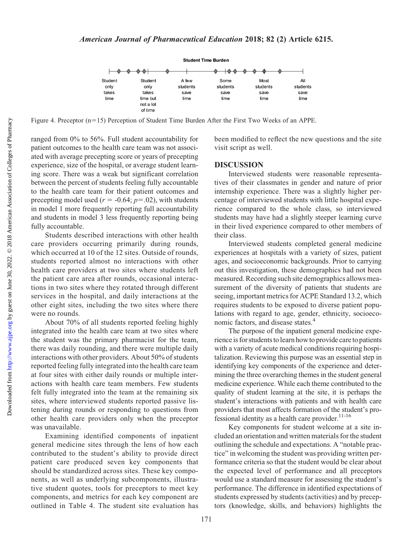

Figure 4. Preceptor (n=15) Perception of Student Time Burden After the First Two Weeks of an APPE.

ranged from 0% to 56%. Full student accountability for patient outcomes to the health care team was not associated with average precepting score or years of precepting experience, size of the hospital, or average student learning score. There was a weak but significant correlation between the percent of students feeling fully accountable to the health care team for their patient outcomes and precepting model used ( $r = -0.64$ ;  $p = .02$ ), with students in model 1 more frequently reporting full accountability and students in model 3 less frequently reporting being fully accountable.

Students described interactions with other health care providers occurring primarily during rounds, which occurred at 10 of the 12 sites. Outside of rounds, students reported almost no interactions with other health care providers at two sites where students left the patient care area after rounds, occasional interactions in two sites where they rotated through different services in the hospital, and daily interactions at the other eight sites, including the two sites where there were no rounds.

About 70% of all students reported feeling highly integrated into the health care team at two sites where the student was the primary pharmacist for the team, there was daily rounding, and there were multiple daily interactions with other providers. About 50% of students reported feeling fully integrated into the health care team at four sites with either daily rounds or multiple interactions with health care team members. Few students felt fully integrated into the team at the remaining six sites, where interviewed students reported passive listening during rounds or responding to questions from other health care providers only when the preceptor was unavailable.

Examining identified components of inpatient general medicine sites through the lens of how each contributed to the student's ability to provide direct patient care produced seven key components that should be standardized across sites. These key components, as well as underlying subcomponents, illustrative student quotes, tools for preceptors to meet key components, and metrics for each key component are outlined in Table 4. The student site evaluation has

been modified to reflect the new questions and the site visit script as well.

### DISCUSSION

Interviewed students were reasonable representatives of their classmates in gender and nature of prior internship experience. There was a slightly higher percentage of interviewed students with little hospital experience compared to the whole class, so interviewed students may have had a slightly steeper learning curve in their lived experience compared to other members of their class.

Interviewed students completed general medicine experiences at hospitals with a variety of sizes, patient ages, and socioeconomic backgrounds. Prior to carrying out this investigation, these demographics had not been measured. Recording such site demographics allows measurement of the diversity of patients that students are seeing, important metrics for ACPE Standard 13.2, which requires students to be exposed to diverse patient populations with regard to age, gender, ethnicity, socioeconomic factors, and disease states.<sup>4</sup>

The purpose of the inpatient general medicine experience is for students to learn how to provide care to patients with a variety of acute medical conditions requiring hospitalization. Reviewing this purpose was an essential step in identifying key components of the experience and determining the three overarching themes in the student general medicine experience. While each theme contributed to the quality of student learning at the site, it is perhaps the student's interactions with patients and with health care providers that most affects formation of the student's professional identity as a health care provider. $11-16$ 

Key components for student welcome at a site included an orientation and written materials for the student outlining the schedule and expectations. A "notable practice" in welcoming the student was providing written performance criteria so that the student would be clear about the expected level of performance and all preceptors would use a standard measure for assessing the student's performance. The difference in identified expectations of students expressed by students (activities) and by preceptors (knowledge, skills, and behaviors) highlights the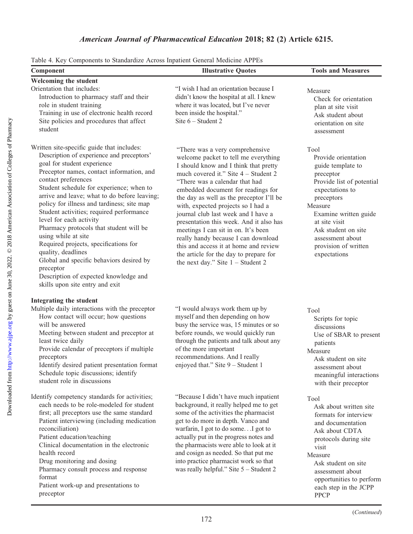| Component                                                                                                                                                                                                                                                                                                                                                                                                                                                                                                                                                                                                                                                                         | <b>Illustrative Quotes</b>                                                                                                                                                                                                                                                                                                                                                                                                                                                                                                                                                                                   | <b>Tools and Measures</b>                                                                                                                                                                                                                                           |
|-----------------------------------------------------------------------------------------------------------------------------------------------------------------------------------------------------------------------------------------------------------------------------------------------------------------------------------------------------------------------------------------------------------------------------------------------------------------------------------------------------------------------------------------------------------------------------------------------------------------------------------------------------------------------------------|--------------------------------------------------------------------------------------------------------------------------------------------------------------------------------------------------------------------------------------------------------------------------------------------------------------------------------------------------------------------------------------------------------------------------------------------------------------------------------------------------------------------------------------------------------------------------------------------------------------|---------------------------------------------------------------------------------------------------------------------------------------------------------------------------------------------------------------------------------------------------------------------|
| Welcoming the student                                                                                                                                                                                                                                                                                                                                                                                                                                                                                                                                                                                                                                                             |                                                                                                                                                                                                                                                                                                                                                                                                                                                                                                                                                                                                              |                                                                                                                                                                                                                                                                     |
| Orientation that includes:<br>Introduction to pharmacy staff and their<br>role in student training<br>Training in use of electronic health record<br>Site policies and procedures that affect<br>student                                                                                                                                                                                                                                                                                                                                                                                                                                                                          | "I wish I had an orientation because I<br>didn't know the hospital at all. I knew<br>where it was located, but I've never<br>been inside the hospital."<br>Site 6 - Student 2                                                                                                                                                                                                                                                                                                                                                                                                                                | Measure<br>Check for orientation<br>plan at site visit<br>Ask student about<br>orientation on site<br>assessment                                                                                                                                                    |
| Written site-specific guide that includes:<br>Description of experience and preceptors'<br>goal for student experience<br>Preceptor names, contact information, and<br>contact preferences<br>Student schedule for experience; when to<br>arrive and leave; what to do before leaving;<br>policy for illness and tardiness; site map<br>Student activities; required performance<br>level for each activity<br>Pharmacy protocols that student will be<br>using while at site<br>Required projects, specifications for<br>quality, deadlines<br>Global and specific behaviors desired by<br>preceptor<br>Description of expected knowledge and<br>skills upon site entry and exit | "There was a very comprehensive<br>welcome packet to tell me everything<br>I should know and I think that pretty<br>much covered it." Site 4 – Student 2<br>"There was a calendar that had<br>embedded document for readings for<br>the day as well as the preceptor I'll be<br>with, expected projects so I had a<br>journal club last week and I have a<br>presentation this week. And it also has<br>meetings I can sit in on. It's been<br>really handy because I can download<br>this and access it at home and review<br>the article for the day to prepare for<br>the next day." Site $1 -$ Student 2 | Tool<br>Provide orientation<br>guide template to<br>preceptor<br>Provide list of potential<br>expectations to<br>preceptors<br>Measure<br>Examine written guide<br>at site visit<br>Ask student on site<br>assessment about<br>provision of written<br>expectations |
| Integrating the student<br>Multiple daily interactions with the preceptor<br>How contact will occur; how questions<br>will be answered<br>Meeting between student and preceptor at<br>least twice daily<br>Provide calendar of preceptors if multiple<br>preceptors<br>Identify desired patient presentation format<br>Schedule topic discussions; identify<br>student role in discussions                                                                                                                                                                                                                                                                                        | "I would always work them up by<br>myself and then depending on how<br>busy the service was, 15 minutes or so<br>before rounds, we would quickly run<br>through the patients and talk about any<br>of the more important<br>recommendations. And I really<br>enjoyed that." Site 9 - Student 1                                                                                                                                                                                                                                                                                                               | Tool<br>Scripts for topic<br>discussions<br>Use of SBAR to present<br>patients<br>Measure<br>Ask student on site<br>assessment about<br>meaningful interactions<br>with their preceptor                                                                             |
| Identify competency standards for activities;<br>each needs to be role-modeled for student<br>first; all preceptors use the same standard<br>Patient interviewing (including medication<br>reconciliation)<br>Patient education/teaching<br>Clinical documentation in the electronic<br>health record<br>Drug monitoring and dosing<br>Pharmacy consult process and response<br>format<br>Patient work-up and presentations to<br>preceptor                                                                                                                                                                                                                                       | "Because I didn't have much inpatient<br>background, it really helped me to get<br>some of the activities the pharmacist<br>get to do more in depth. Vanco and<br>warfarin, I got to do some. I got to<br>actually put in the progress notes and<br>the pharmacists were able to look at it<br>and cosign as needed. So that put me<br>into practice pharmacist work so that<br>was really helpful." Site 5 - Student 2                                                                                                                                                                                      | Tool<br>Ask about written site<br>formats for interview<br>and documentation<br>Ask about CDTA<br>protocols during site<br>visit<br>Measure<br>Ask student on site<br>assessment about<br>opportunities to perform<br>each step in the JCPP<br><b>PPCP</b>          |

Table 4. Key Components to Standardize Across Inpatient General Medicine APPEs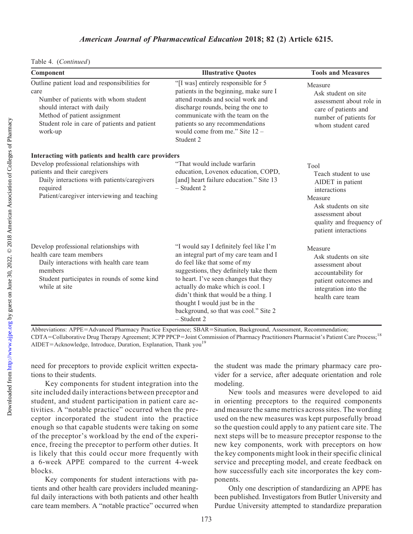Table 4. (Continued)

| Component                                                                                                                                                                                                              | <b>Illustrative Quotes</b>                                                                                                                                                                                                                                                                                                                                                   | <b>Tools and Measures</b>                                                                                                                                                   |
|------------------------------------------------------------------------------------------------------------------------------------------------------------------------------------------------------------------------|------------------------------------------------------------------------------------------------------------------------------------------------------------------------------------------------------------------------------------------------------------------------------------------------------------------------------------------------------------------------------|-----------------------------------------------------------------------------------------------------------------------------------------------------------------------------|
| Outline patient load and responsibilities for<br>care<br>Number of patients with whom student<br>should interact with daily<br>Method of patient assignment<br>Student role in care of patients and patient<br>work-up | "[I was] entirely responsible for 5<br>patients in the beginning, make sure I<br>attend rounds and social work and<br>discharge rounds, being the one to<br>communicate with the team on the<br>patients so any recommendations<br>would come from me." Site 12 -<br>Student 2                                                                                               | Measure<br>Ask student on site<br>assessment about role in<br>care of patients and<br>number of patients for<br>whom student cared                                          |
| Interacting with patients and health care providers                                                                                                                                                                    |                                                                                                                                                                                                                                                                                                                                                                              |                                                                                                                                                                             |
| Develop professional relationships with<br>patients and their caregivers<br>Daily interactions with patients/caregivers<br>required<br>Patient/caregiver interviewing and teaching                                     | "That would include warfarin<br>education, Lovenox education, COPD,<br>[and] heart failure education." Site 13<br>$-$ Student 2                                                                                                                                                                                                                                              | Tool<br>Teach student to use<br>AIDET in patient<br>interactions<br>Measure<br>Ask students on site<br>assessment about<br>quality and frequency of<br>patient interactions |
| Develop professional relationships with<br>health care team members<br>Daily interactions with health care team<br>members<br>Student participates in rounds of some kind<br>while at site                             | "I would say I definitely feel like I'm<br>an integral part of my care team and I<br>do feel like that some of my<br>suggestions, they definitely take them<br>to heart. I've seen changes that they<br>actually do make which is cool. I<br>didn't think that would be a thing. I<br>thought I would just be in the<br>background, so that was cool." Site 2<br>- Student 2 | Measure<br>Ask students on site<br>assessment about<br>accountability for<br>patient outcomes and<br>integration into the<br>health care team                               |

Abbreviations: APPE=Advanced Pharmacy Practice Experience; SBAR=Situation, Background, Assessment, Recommendation; CDTA=Collaborative Drug Therapy Agreement; JCPP PPCP=Joint Commission of Pharmacy Practitioners Pharmacist's Patient Care Process;<sup>18</sup>

AIDET=Acknowledge, Introduce, Duration, Explanation, Thank you<sup>19</sup>

need for preceptors to provide explicit written expectations to their students.

Key components for student integration into the site included daily interactions between preceptor and student, and student participation in patient care activities. A "notable practice" occurred when the preceptor incorporated the student into the practice enough so that capable students were taking on some of the preceptor's workload by the end of the experience, freeing the preceptor to perform other duties. It is likely that this could occur more frequently with a 6-week APPE compared to the current 4-week blocks.

Key components for student interactions with patients and other health care providers included meaningful daily interactions with both patients and other health care team members. A "notable practice" occurred when the student was made the primary pharmacy care provider for a service, after adequate orientation and role modeling.

New tools and measures were developed to aid in orienting preceptors to the required components and measure the same metrics across sites. The wording used on the new measures was kept purposefully broad so the question could apply to any patient care site. The next steps will be to measure preceptor response to the new key components, work with preceptors on how the key components might look in their specific clinical service and precepting model, and create feedback on how successfully each site incorporates the key components.

Only one description of standardizing an APPE has been published. Investigators from Butler University and Purdue University attempted to standardize preparation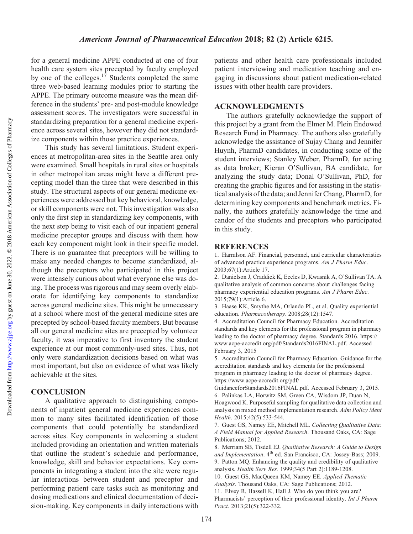for a general medicine APPE conducted at one of four health care system sites precepted by faculty employed by one of the colleges.<sup>17</sup> Students completed the same three web-based learning modules prior to starting the APPE. The primary outcome measure was the mean difference in the students' pre- and post-module knowledge assessment scores. The investigators were successful in standardizing preparation for a general medicine experience across several sites, however they did not standardize components within those practice experiences.

This study has several limitations. Student experiences at metropolitan-area sites in the Seattle area only were examined. Small hospitals in rural sites or hospitals in other metropolitan areas might have a different precepting model than the three that were described in this study. The structural aspects of our general medicine experiences were addressed but key behavioral, knowledge, or skill components were not. This investigation was also only the first step in standardizing key components, with the next step being to visit each of our inpatient general medicine preceptor groups and discuss with them how each key component might look in their specific model. There is no guarantee that preceptors will be willing to make any needed changes to become standardized, although the preceptors who participated in this project were intensely curious about what everyone else was doing. The process was rigorous and may seem overly elaborate for identifying key components to standardize across general medicine sites. This might be unnecessary at a school where most of the general medicine sites are precepted by school-based faculty members. But because all our general medicine sites are precepted by volunteer faculty, it was imperative to first inventory the student experience at our most commonly-used sites. Thus, not only were standardization decisions based on what was most important, but also on evidence of what was likely achievable at the sites.

# **CONCLUSION**

A qualitative approach to distinguishing components of inpatient general medicine experiences common to many sites facilitated identification of those components that could potentially be standardized across sites. Key components in welcoming a student included providing an orientation and written materials that outline the student's schedule and performance, knowledge, skill and behavior expectations. Key components in integrating a student into the site were regular interactions between student and preceptor and performing patient care tasks such as monitoring and dosing medications and clinical documentation of decision-making. Key components in daily interactions with

patients and other health care professionals included patient interviewing and medication teaching and engaging in discussions about patient medication-related issues with other health care providers.

#### ACKNOWLEDGMENTS

The authors gratefully acknowledge the support of this project by a grant from the Elmer M. Plein Endowed Research Fund in Pharmacy. The authors also gratefully acknowledge the assistance of Sujay Chang and Jennifer Huynh, PharmD candidates, in conducting some of the student interviews; Stanley Weber, PharmD, for acting as data broker; Kieran O'Sullivan, BA candidate, for analyzing the study data; Donal O'Sullivan, PhD, for creating the graphic figures and for assisting in the statistical analysis of the data; and Jennifer Chang, PharmD, for determining key components and benchmark metrics. Finally, the authors gratefully acknowledge the time and candor of the students and preceptors who participated in this study.

#### **REFERENCES**

1. Harralson AF. Financial, personnel, and curricular characteristics of advanced practice experience programs. Am J Pharm Educ. 2003;67(1):Article 17.

2. Danielson J, Craddick K, Eccles D, Kwasnik A, O'Sullivan TA. A qualitative analysis of common concerns about challenges facing pharmacy experiential education programs. Am J Pharm Educ. 2015;79(1):Article 6.

3. Haase KK, Smythe MA, Orlando PL, et al. Quality experiential education. Pharmacotherapy. 2008;28(12):1547.

4. Accreditation Council for Pharmacy Education. Accreditation standards and key elements for the professional program in pharmacy leading to the doctor of pharmacy degree. Standards 2016. [https://](https://www.acpe-accredit.org/pdf/Standards2016FINAL.pdf) [www.acpe-accredit.org/pdf/Standards2016FINAL.pdf.](https://www.acpe-accredit.org/pdf/Standards2016FINAL.pdf) Accessed February 3, 2015

5. Accreditation Council for Pharmacy Education. Guidance for the accreditation standards and key elements for the professional program in pharmacy leading to the doctor of pharmacy degree. [https://www.acpe-accredit.org/pdf/](https://www.acpe-accredit.org/pdf/GuidanceforStandards2016FINAL.pdf)

[GuidanceforStandards2016FINAL.pdf.](https://www.acpe-accredit.org/pdf/GuidanceforStandards2016FINAL.pdf) Accessed February 3, 2015. 6. Palinkas LA, Horwitz SM, Green CA, Wisdom JP, Duan N, Hoagwood K. Purposeful sampling for qualitative data collection and analysis in mixed method implementation research. Adm Policy Ment Health. 2015;42(5):533-544.

7. Guest GS, Namey EE, Mitchell ML. Collecting Qualitative Data: A Field Manual for Applied Research. Thousand Oaks, CA: Sage Publications; 2012.

8. Merriam SB, Tisdell EJ. Qualitative Research: A Guide to Design and Implementation. 4<sup>th</sup> ed. San Francisco, CA: Jossey-Bass; 2009. 9. Patton MQ. Enhancing the quality and credibility of qualitative analysis. Health Serv Res. 1999;34(5 Part 2):1189-1208. 10. Guest GS, MacQueen KM, Namey EE. Applied Thematic Analysis. Thousand Oaks, CA: Sage Publications; 2012.

11. Elvey R, Hassell K, Hall J. Who do you think you are? Pharmacists' perception of their professional identity. Int J Pharm Pract. 2013;21(5):322-332.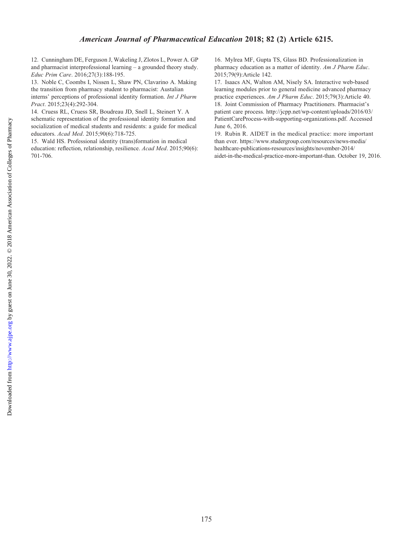12. Cunningham DE, Ferguson J, Wakeling J, Zlotos L, Power A. GP and pharmacist interprofessional learning – a grounded theory study. Educ Prim Care. 2016;27(3):188-195.

13. Noble C, Coombs I, Nissen L, Shaw PN, Clavarino A. Making the transition from pharmacy student to pharmacist: Austalian interns' perceptions of professional identity formation. Int J Pharm Pract. 2015;23(4):292-304.

14. Cruess RL, Cruess SR, Boudreau JD, Snell L, Steinert Y. A schematic representation of the professional identity formation and socialization of medical students and residents: a guide for medical educators. Acad Med. 2015;90(6):718-725.

15. Wald HS. Professional identity (trans)formation in medical education: reflection, relationship, resilience. Acad Med. 2015;90(6): 701-706.

16. Mylrea MF, Gupta TS, Glass BD. Professionalization in pharmacy education as a matter of identity. Am J Pharm Educ. 2015;79(9):Article 142.

17. Isaacs AN, Walton AM, Nisely SA. Interactive web-based learning modules prior to general medicine advanced pharmacy practice experiences. Am J Pharm Educ. 2015;79(3):Article 40. 18. Joint Commission of Pharmacy Practitioners. Pharmacist's patient care process. [http://jcpp.net/wp-content/uploads/2016/03/](http://jcpp.net/wp-content/uploads/2016/03/PatientCareProcess-with-supporting-organizations.pdf) [PatientCareProcess-with-supporting-organizations.pdf](http://jcpp.net/wp-content/uploads/2016/03/PatientCareProcess-with-supporting-organizations.pdf). Accessed June 6, 2016.

19. Rubin R. AIDET in the medical practice: more important than ever. [https://www.studergroup.com/resources/news-media/](https://www.studergroup.com/resources/news-media/healthcare-publications-resources/insights/november-2014/aidet-in-the-medical-practice-more-important-than) [healthcare-publications-resources/insights/november-2014/](https://www.studergroup.com/resources/news-media/healthcare-publications-resources/insights/november-2014/aidet-in-the-medical-practice-more-important-than) [aidet-in-the-medical-practice-more-important-than](https://www.studergroup.com/resources/news-media/healthcare-publications-resources/insights/november-2014/aidet-in-the-medical-practice-more-important-than). October 19, 2016.